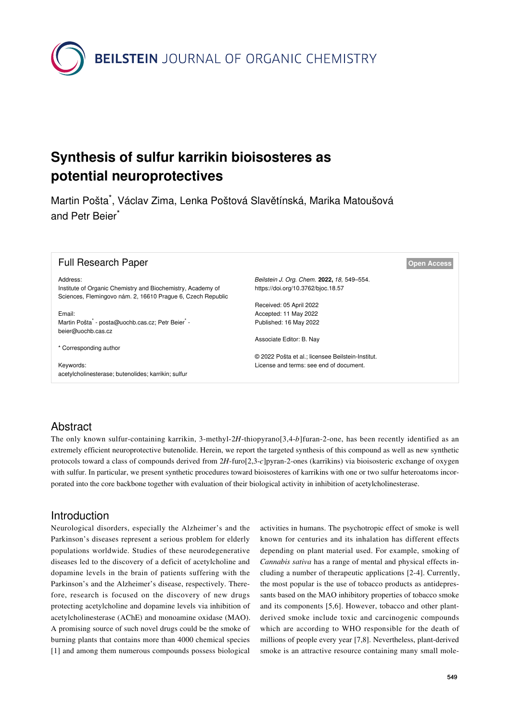

# **Synthesis of sulfur karrikin bioisosteres as potential neuroprotectives**

Martin Pošta\* , Václav Zima, Lenka Poštová Slavětínská, Marika Matoušová and Petr Beier<sup>\*</sup>

| <b>Full Research Paper</b>                                                                        | <b>Open Access</b> |
|---------------------------------------------------------------------------------------------------|--------------------|
| Address:<br>Beilstein J. Org. Chem. 2022, 18, 549-554.                                            |                    |
| https://doi.org/10.3762/bjoc.18.57<br>Institute of Organic Chemistry and Biochemistry, Academy of |                    |
| Sciences, Flemingovo nám. 2, 16610 Prague 6, Czech Republic                                       |                    |
| Received: 05 April 2022                                                                           |                    |
| Email:<br>Accepted: 11 May 2022                                                                   |                    |
| Martin Pošta* - posta@uochb.cas.cz; Petr Beier* -<br>Published: 16 May 2022                       |                    |
| beier@uochb.cas.cz                                                                                |                    |
| Associate Editor: B. Nay                                                                          |                    |
| * Corresponding author                                                                            |                    |
| © 2022 Pošta et al.; licensee Beilstein-Institut.                                                 |                    |
| License and terms: see end of document.<br>Keywords:                                              |                    |
| acetylcholinesterase; butenolides; karrikin; sulfur                                               |                    |
|                                                                                                   |                    |

# Abstract

The only known sulfur-containing karrikin, 3-methyl-2*H*-thiopyrano[3,4-*b*]furan-2-one, has been recently identified as an extremely efficient neuroprotective butenolide. Herein, we report the targeted synthesis of this compound as well as new synthetic protocols toward a class of compounds derived from 2*H*-furo[2,3-*c*]pyran-2-ones (karrikins) via bioisosteric exchange of oxygen with sulfur. In particular, we present synthetic procedures toward bioisosteres of karrikins with one or two sulfur heteroatoms incorporated into the core backbone together with evaluation of their biological activity in inhibition of acetylcholinesterase.

# Introduction

Neurological disorders, especially the Alzheimer's and the Parkinson's diseases represent a serious problem for elderly populations worldwide. Studies of these neurodegenerative diseases led to the discovery of a deficit of acetylcholine and dopamine levels in the brain of patients suffering with the Parkinson's and the Alzheimer's disease, respectively. Therefore, research is focused on the discovery of new drugs protecting acetylcholine and dopamine levels via inhibition of acetylcholinesterase (AChE) and monoamine oxidase (MAO). A promising source of such novel drugs could be the smoke of burning plants that contains more than 4000 chemical species [\[1\]](#page-4-0) and among them numerous compounds possess biological

activities in humans. The psychotropic effect of smoke is well known for centuries and its inhalation has different effects depending on plant material used. For example, smoking of *Cannabis sativa* has a range of mental and physical effects including a number of therapeutic applications [\[2-4\]](#page-4-1). Currently, the most popular is the use of tobacco products as antidepressants based on the MAO inhibitory properties of tobacco smoke and its components [\[5,6\]](#page-4-2). However, tobacco and other plantderived smoke include toxic and carcinogenic compounds which are according to WHO responsible for the death of millions of people every year [\[7,8\].](#page-4-3) Nevertheless, plant-derived smoke is an attractive resource containing many small mole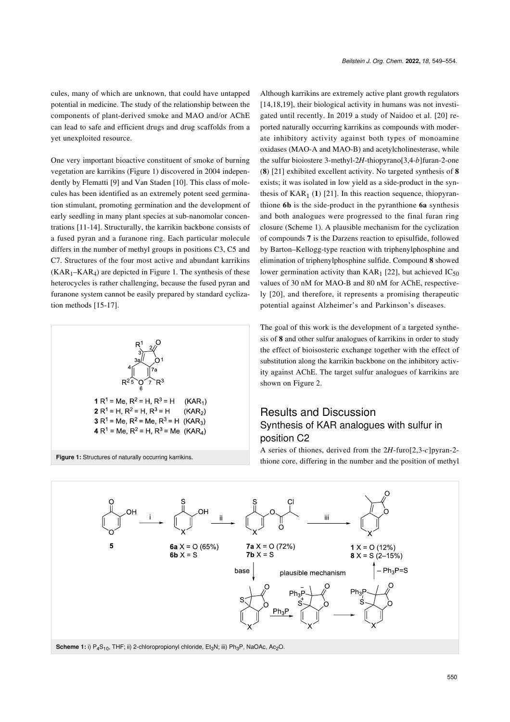cules, many of which are unknown, that could have untapped potential in medicine. The study of the relationship between the components of plant-derived smoke and MAO and/or AChE can lead to safe and efficient drugs and drug scaffolds from a yet unexploited resource.

One very important bioactive constituent of smoke of burning vegetation are karrikins [\(Figure 1](#page-1-0)) discovered in 2004 independently by Flematti [\[9\]](#page-4-4) and Van Staden [\[10\]](#page-4-5). This class of molecules has been identified as an extremely potent seed germination stimulant, promoting germination and the development of early seedling in many plant species at sub-nanomolar concentrations [\[11-14\].](#page-4-6) Structurally, the karrikin backbone consists of a fused pyran and a furanone ring. Each particular molecule differs in the number of methyl groups in positions C3, C5 and C7. Structures of the four most active and abundant karrikins  $(KAR_1-KAR_4)$  are depicted in [Figure 1](#page-1-0). The synthesis of these heterocycles is rather challenging, because the fused pyran and furanone system cannot be easily prepared by standard cyclization methods [\[15-17\].](#page-4-7)

<span id="page-1-0"></span>

<span id="page-1-1"></span>**Figure 1:** Structures of naturally occurring karrikins.

Although karrikins are extremely active plant growth regulators [\[14,18,19\],](#page-4-8) their biological activity in humans was not investigated until recently. In 2019 a study of Naidoo et al. [\[20\]](#page-5-0) reported naturally occurring karrikins as compounds with moderate inhibitory activity against both types of monoamine oxidases (MAO-A and MAO-B) and acetylcholinesterase, while the sulfur bioiostere 3-methyl-2*H*-thiopyrano[3,4-*b*]furan-2-one (**8**) [\[21\]](#page-5-1) exhibited excellent activity. No targeted synthesis of **8** exists; it was isolated in low yield as a side-product in the synthesis of  $KAR_1$  (1) [\[21\]](#page-5-1). In this reaction sequence, thiopyranthione **6b** is the side-product in the pyranthione **6a** synthesis and both analogues were progressed to the final furan ring closure ([Scheme 1](#page-1-1)). A plausible mechanism for the cyclization of compounds **7** is the Darzens reaction to episulfide, followed by Barton–Kellogg-type reaction with triphenylphosphine and elimination of triphenylphosphine sulfide. Compound **8** showed lower germination activity than  $KAR_1$  [\[22\]](#page-5-2), but achieved  $IC_{50}$ values of 30 nM for MAO-B and 80 nM for AChE, respectively [\[20\]](#page-5-0), and therefore, it represents a promising therapeutic potential against Alzheimer's and Parkinson's diseases.

The goal of this work is the development of a targeted synthesis of **8** and other sulfur analogues of karrikins in order to study the effect of bioisosteric exchange together with the effect of substitution along the karrikin backbone on the inhibitory activity against AChE. The target sulfur analogues of karrikins are shown on [Figure 2](#page-2-0).

# Results and Discussion Synthesis of KAR analogues with sulfur in position C2

A series of thiones, derived from the 2*H*-furo[2,3-*c*]pyran-2 thione core, differing in the number and the position of methyl

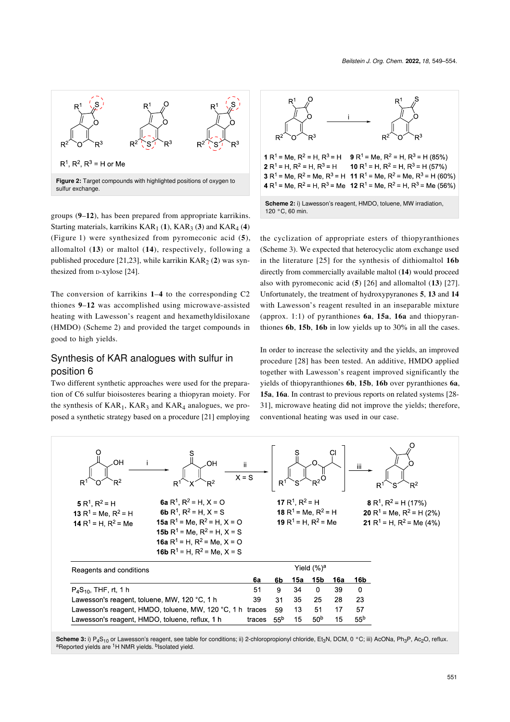<span id="page-2-0"></span>

groups (**9**–**12**), has been prepared from appropriate karrikins. Starting materials, karrikins  $KAR_1(1)$ ,  $KAR_3(3)$  and  $KAR_4(4)$ ([Figure 1](#page-1-0)) were synthesized from pyromeconic acid (**5**), allomaltol (**13**) or maltol (**14**), respectively, following a published procedure [\[21,23\],](#page-5-1) while karrikin KAR<sub>2</sub> (2) was synthesized from **p-xylose** [\[24\].](#page-5-3)

The conversion of karrikins **1**–**4** to the corresponding C2 thiones **9**–**12** was accomplished using microwave-assisted heating with Lawesson's reagent and hexamethyldisiloxane (HMDO) ([Scheme 2\)](#page-2-1) and provided the target compounds in good to high yields.

#### Synthesis of KAR analogues with sulfur in position 6

Two different synthetic approaches were used for the preparation of C6 sulfur bioisosteres bearing a thiopyran moiety. For the synthesis of  $KAR_1$ ,  $KAR_3$  and  $KAR_4$  analogues, we proposed a synthetic strategy based on a procedure [\[21\]](#page-5-1) employing

<span id="page-2-1"></span>

the cyclization of appropriate esters of thiopyranthiones ([Scheme 3](#page-2-2)). We expected that heterocyclic atom exchange used in the literature [\[25\]](#page-5-4) for the synthesis of dithiomaltol **16b** directly from commercially available maltol (**14**) would proceed also with pyromeconic acid (**5**) [\[26\]](#page-5-5) and allomaltol (**13**) [\[27\]](#page-5-6). Unfortunately, the treatment of hydroxypyranones **5**, **13** and **14** with Lawesson's reagent resulted in an inseparable mixture (approx. 1:1) of pyranthiones **6a**, **15a**, **16a** and thiopyranthiones **6b**, **15b**, **16b** in low yields up to 30% in all the cases.

In order to increase the selectivity and the yields, an improved procedure [\[28\]](#page-5-7) has been tested. An additive, HMDO applied together with Lawesson's reagent improved significantly the yields of thiopyranthiones **6b**, **15b**, **16b** over pyranthiones **6a**, **15a**, **16a**. In contrast to previous reports on related systems [\[28-](#page-5-7) [31\]](#page-5-7), microwave heating did not improve the yields; therefore, conventional heating was used in our case.

<span id="page-2-2"></span>

Scheme 3: i) P<sub>4</sub>S<sub>10</sub> or Lawesson's reagent, see table for conditions; ii) 2-chloropropionyl chloride, Et<sub>3</sub>N, DCM, 0 °C; iii) AcONa, Ph<sub>3</sub>P, Ac<sub>2</sub>O, reflux. <sup>a</sup>Reported yields are <sup>1</sup>H NMR yields. <sup>b</sup>Isolated yield.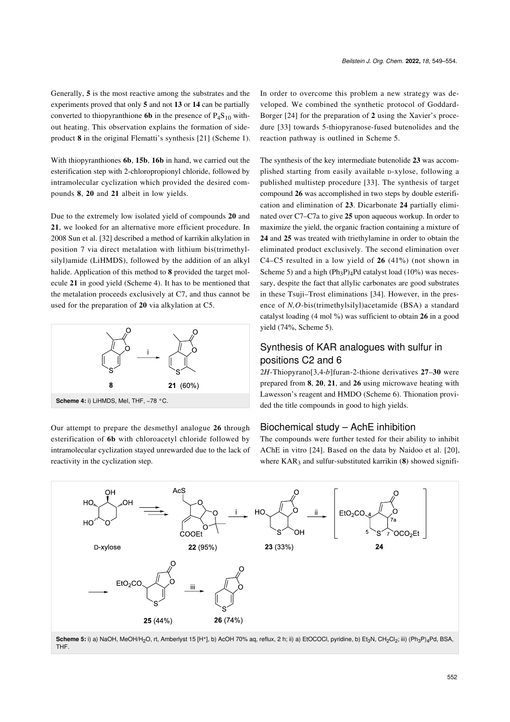Generally, **5** is the most reactive among the substrates and the experiments proved that only **5** and not **13** or **14** can be partially converted to thiopyranthione **6b** in the presence of  $P_4S_{10}$  without heating. This observation explains the formation of sideproduct **8** in the original Flematti's synthesis [\[21\]](#page-5-1) ([Scheme 1\)](#page-1-1).

With thiopyranthiones **6b**, **15b**, **16b** in hand, we carried out the esterification step with 2-chloropropionyl chloride, followed by intramolecular cyclization which provided the desired compounds **8**, **20** and **21** albeit in low yields.

Due to the extremely low isolated yield of compounds **20** and **21**, we looked for an alternative more efficient procedure. In 2008 Sun et al. [\[32\]](#page-5-8) described a method of karrikin alkylation in position 7 via direct metalation with lithium bis(trimethylsilyl)amide (LiHMDS), followed by the addition of an alkyl halide. Application of this method to **8** provided the target molecule **21** in good yield [\(Scheme 4](#page-3-0)). It has to be mentioned that the metalation proceeds exclusively at C7, and thus cannot be used for the preparation of **20** via alkylation at C5.

<span id="page-3-0"></span>

Our attempt to prepare the desmethyl analogue **26** through esterification of **6b** with chloroacetyl chloride followed by intramolecular cyclization stayed unrewarded due to the lack of reactivity in the cyclization step.

In order to overcome this problem a new strategy was developed. We combined the synthetic protocol of Goddard-Borger [\[24\]](#page-5-3) for the preparation of **2** using the Xavier's procedure [\[33\]](#page-5-9) towards 5-thiopyranose-fused butenolides and the reaction pathway is outlined in [Scheme 5](#page-3-1).

The synthesis of the key intermediate butenolide **23** was accomplished starting from easily available D-xylose, following a published multistep procedure [\[33\]](#page-5-9). The synthesis of target compound **26** was accomplished in two steps by double esterification and elimination of **23**. Dicarbonate **24** partially eliminated over C7–C7a to give **25** upon aqueous workup. In order to maximize the yield, the organic fraction containing a mixture of **24** and **25** was treated with triethylamine in order to obtain the eliminated product exclusively. The second elimination over C4–C5 resulted in a low yield of **26** (41%) (not shown in [Scheme 5\)](#page-3-1) and a high  $(\text{Ph}_3\text{P})_4\text{Pd}$  catalyst load (10%) was necessary, despite the fact that allylic carbonates are good substrates in these Tsuji–Trost eliminations [\[34\]](#page-5-10). However, in the presence of *N,O*-bis(trimethylsilyl)acetamide (BSA) a standard catalyst loading (4 mol %) was sufficient to obtain **26** in a good yield (74%, [Scheme 5\)](#page-3-1).

### Synthesis of KAR analogues with sulfur in positions C2 and 6

2*H*-Thiopyrano[3,4-*b*]furan-2-thione derivatives **27**–**30** were prepared from **8**, **20**, **21**, and **26** using microwave heating with Lawesson's reagent and HMDO [\(Scheme 6\)](#page-4-9). Thionation provided the title compounds in good to high yields.

#### Biochemical study – AchE inhibition

The compounds were further tested for their ability to inhibit AChE in vitro [\[24\].](#page-5-3) Based on the data by Naidoo et al. [\[20\]](#page-5-0), where KAR<sub>3</sub> and sulfur-substituted karrikin (8) showed signifi-

<span id="page-3-1"></span>

THF.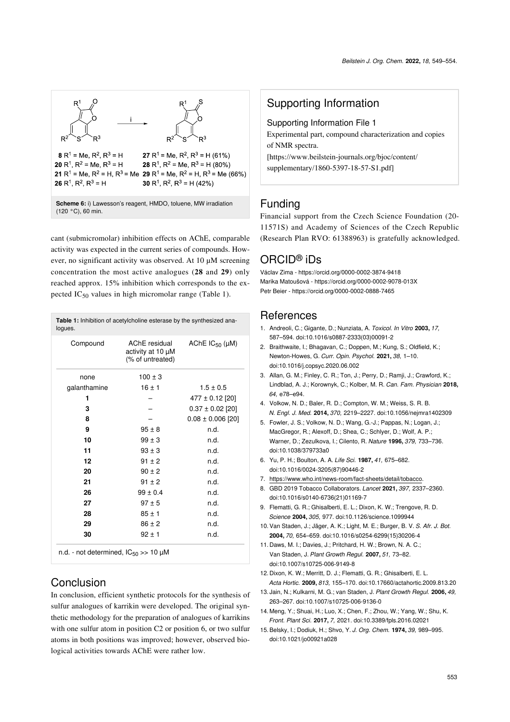<span id="page-4-9"></span>

cant (submicromolar) inhibition effects on AChE, comparable activity was expected in the current series of compounds. However, no significant activity was observed. At 10 uM screening concentration the most active analogues (**28** and **29**) only reached approx. 15% inhibition which corresponds to the expected  $IC_{50}$  values in high micromolar range ([Table 1\)](#page-4-10).

<span id="page-4-10"></span>

| Compound     | AChE residual<br>activity at 10 µM<br>(% of untreated) | AChE $IC_{50}$ ( $\mu$ M) |
|--------------|--------------------------------------------------------|---------------------------|
| none         | $100 \pm 3$                                            |                           |
| galanthamine | $16 \pm 1$                                             | $1.5 \pm 0.5$             |
| 1            |                                                        | 477 ± 0.12 [20]           |
| 3            |                                                        | $0.37 \pm 0.02$ [20]      |
| 8            |                                                        | $0.08 \pm 0.006$ [20]     |
| 9            | $95 \pm 8$                                             | n.d.                      |
| 10           | $99 \pm 3$                                             | n.d.                      |
| 11           | $93 \pm 3$                                             | n.d.                      |
| 12           | $91 \pm 2$                                             | n.d.                      |
| 20           | $90 \pm 2$                                             | n.d.                      |
| 21           | $91 \pm 2$                                             | n.d.                      |
| 26           | $99 \pm 0.4$                                           | n.d.                      |
| 27           | $97 + 5$                                               | n.d.                      |
| 28           | $85 \pm 1$                                             | n.d.                      |
| 29           | $86 \pm 2$                                             | n.d.                      |
| 30           | $92 \pm 1$                                             | n.d.                      |

# Conclusion

In conclusion, efficient synthetic protocols for the synthesis of sulfur analogues of karrikin were developed. The original synthetic methodology for the preparation of analogues of karrikins with one sulfur atom in position C2 or position 6, or two sulfur atoms in both positions was improved; however, observed biological activities towards AChE were rather low.

# Supporting Information

#### Supporting Information File 1

Experimental part, compound characterization and copies of NMR spectra. [\[https://www.beilstein-journals.org/bjoc/content/](https://www.beilstein-journals.org/bjoc/content/supplementary/1860-5397-18-57-S1.pdf) [supplementary/1860-5397-18-57-S1.pdf\]](https://www.beilstein-journals.org/bjoc/content/supplementary/1860-5397-18-57-S1.pdf)

# Funding

Financial support from the Czech Science Foundation (20- 11571S) and Academy of Sciences of the Czech Republic (Research Plan RVO: 61388963) is gratefully acknowledged.

# ORCID® iDs

Václav Zima -<https://orcid.org/0000-0002-3874-9418> Marika Matoušová - <https://orcid.org/0000-0002-9078-013X> Petr Beier - <https://orcid.org/0000-0002-0888-7465>

#### References

- <span id="page-4-0"></span>1. Andreoli, C.; Gigante, D.; Nunziata, A. *Toxicol. In Vitro* **2003,** *17,* 587–594. [doi:10.1016/s0887-2333\(03\)00091-2](https://doi.org/10.1016%2Fs0887-2333%2803%2900091-2)
- <span id="page-4-1"></span>2. Braithwaite, I.; Bhagavan, C.; Doppen, M.; Kung, S.; Oldfield, K.; Newton-Howes, G. *Curr. Opin. Psychol.* **2021,** *38,* 1–10. [doi:10.1016/j.copsyc.2020.06.002](https://doi.org/10.1016%2Fj.copsyc.2020.06.002)
- 3. Allan, G. M.; Finley, C. R.; Ton, J.; Perry, D.; Ramji, J.; Crawford, K.; Lindblad, A. J.; Korownyk, C.; Kolber, M. R. *Can. Fam. Physician* **2018,** *64,* e78–e94.
- 4. Volkow, N. D.; Baler, R. D.; Compton, W. M.; Weiss, S. R. B. *N. Engl. J. Med.* **2014,** *370,* 2219–2227. [doi:10.1056/nejmra1402309](https://doi.org/10.1056%2Fnejmra1402309)
- <span id="page-4-2"></span>5. Fowler, J. S.; Volkow, N. D.; Wang, G.-J.; Pappas, N.; Logan, J.; MacGregor, R.; Alexoff, D.; Shea, C.; Schlyer, D.; Wolf, A. P.; Warner, D.; Zezulkova, I.; Cilento, R. *Nature* **1996,** *379,* 733–736. [doi:10.1038/379733a0](https://doi.org/10.1038%2F379733a0)
- 6. Yu, P. H.; Boulton, A. A. *Life Sci.* **1987,** *41,* 675–682. [doi:10.1016/0024-3205\(87\)90446-2](https://doi.org/10.1016%2F0024-3205%2887%2990446-2)
- <span id="page-4-3"></span>7. <https://www.who.int/news-room/fact-sheets/detail/tobacco>.
- 8. GBD 2019 Tobacco Collaborators. *Lancet* **2021,** *397,* 2337–2360. [doi:10.1016/s0140-6736\(21\)01169-7](https://doi.org/10.1016%2Fs0140-6736%2821%2901169-7)
- <span id="page-4-4"></span>9. Flematti, G. R.; Ghisalberti, E. L.; Dixon, K. W.; Trengove, R. D. *Science* **2004,** *305,* 977. [doi:10.1126/science.1099944](https://doi.org/10.1126%2Fscience.1099944)
- <span id="page-4-5"></span>10.Van Staden, J.; Jäger, A. K.; Light, M. E.; Burger, B. V. *S. Afr. J. Bot.* **2004,** *70,* 654–659. [doi:10.1016/s0254-6299\(15\)30206-4](https://doi.org/10.1016%2Fs0254-6299%2815%2930206-4)
- <span id="page-4-6"></span>11. Daws, M. I.; Davies, J.; Pritchard, H. W.; Brown, N. A. C.; Van Staden, J. *Plant Growth Regul.* **2007,** *51,* 73–82. [doi:10.1007/s10725-006-9149-8](https://doi.org/10.1007%2Fs10725-006-9149-8)
- 12. Dixon, K. W.; Merritt, D. J.; Flematti, G. R.; Ghisalberti, E. L. *Acta Hortic.* **2009,** *813,* 155–170. [doi:10.17660/actahortic.2009.813.20](https://doi.org/10.17660%2Factahortic.2009.813.20)
- 13. Jain, N.; Kulkarni, M. G.; van Staden, J. *Plant Growth Regul.* **2006,** *49,* 263–267. [doi:10.1007/s10725-006-9136-0](https://doi.org/10.1007%2Fs10725-006-9136-0)
- <span id="page-4-8"></span>14. Meng, Y.; Shuai, H.; Luo, X.; Chen, F.; Zhou, W.; Yang, W.; Shu, K. *Front. Plant Sci.* **2017,** *7,* 2021. [doi:10.3389/fpls.2016.02021](https://doi.org/10.3389%2Ffpls.2016.02021)
- <span id="page-4-7"></span>15.Belsky, I.; Dodiuk, H.; Shvo, Y. *J. Org. Chem.* **1974,** *39,* 989–995. [doi:10.1021/jo00921a028](https://doi.org/10.1021%2Fjo00921a028)